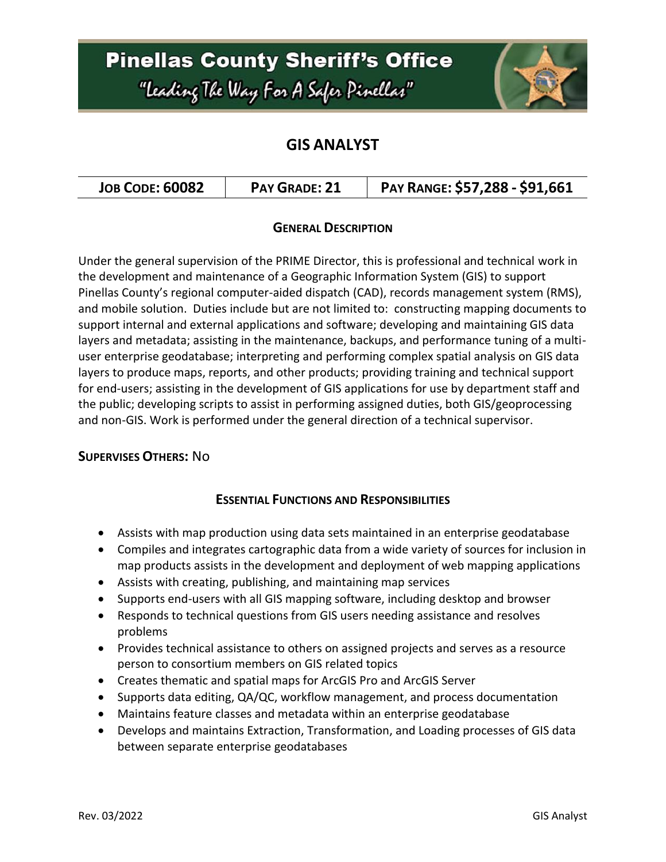## **Pinellas County Sheriff's Office** "Leading The Way For A Safer Pinellar"



### **GIS ANALYST**

| <b>JOB CODE: 60082</b> | <b>PAY GRADE: 21</b> | PAY RANGE: \$57,288 - \$91,661 |
|------------------------|----------------------|--------------------------------|
|------------------------|----------------------|--------------------------------|

### **GENERAL DESCRIPTION**

Under the general supervision of the PRIME Director, this is professional and technical work in the development and maintenance of a Geographic Information System (GIS) to support Pinellas County's regional computer-aided dispatch (CAD), records management system (RMS), and mobile solution. Duties include but are not limited to: constructing mapping documents to support internal and external applications and software; developing and maintaining GIS data layers and metadata; assisting in the maintenance, backups, and performance tuning of a multiuser enterprise geodatabase; interpreting and performing complex spatial analysis on GIS data layers to produce maps, reports, and other products; providing training and technical support for end-users; assisting in the development of GIS applications for use by department staff and the public; developing scripts to assist in performing assigned duties, both GIS/geoprocessing and non-GIS. Work is performed under the general direction of a technical supervisor.

### **SUPERVISES OTHERS:** No

### **ESSENTIAL FUNCTIONS AND RESPONSIBILITIES**

- Assists with map production using data sets maintained in an enterprise geodatabase
- Compiles and integrates cartographic data from a wide variety of sources for inclusion in map products assists in the development and deployment of web mapping applications
- Assists with creating, publishing, and maintaining map services
- Supports end-users with all GIS mapping software, including desktop and browser
- Responds to technical questions from GIS users needing assistance and resolves problems
- Provides technical assistance to others on assigned projects and serves as a resource person to consortium members on GIS related topics
- Creates thematic and spatial maps for ArcGIS Pro and ArcGIS Server
- Supports data editing, QA/QC, workflow management, and process documentation
- Maintains feature classes and metadata within an enterprise geodatabase
- Develops and maintains Extraction, Transformation, and Loading processes of GIS data between separate enterprise geodatabases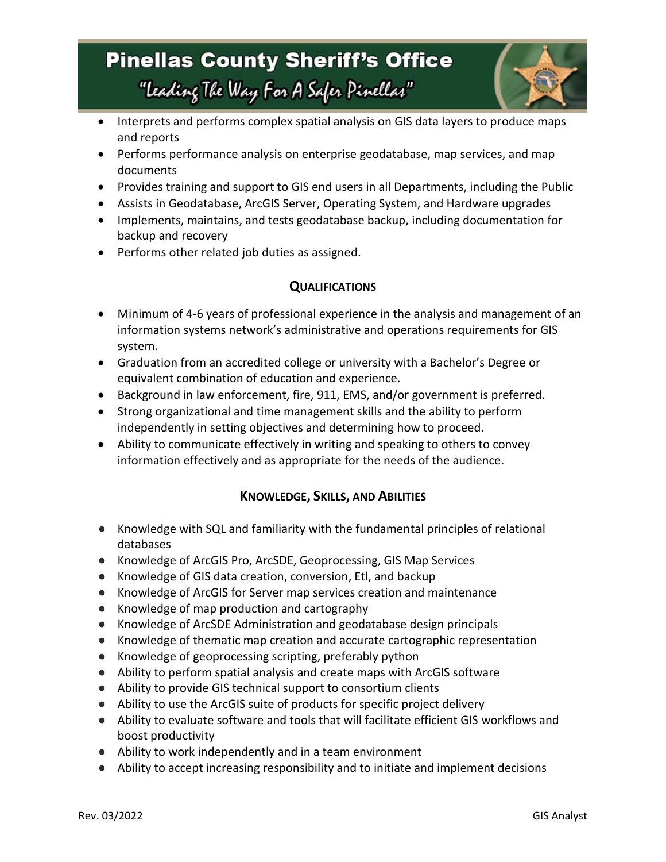### **Pinellas County Sheriff's Office** "leading The Way For A Safer Pinellar"



- Interprets and performs complex spatial analysis on GIS data layers to produce maps and reports
- Performs performance analysis on enterprise geodatabase, map services, and map documents
- Provides training and support to GIS end users in all Departments, including the Public
- Assists in Geodatabase, ArcGIS Server, Operating System, and Hardware upgrades
- Implements, maintains, and tests geodatabase backup, including documentation for backup and recovery
- Performs other related job duties as assigned.

### **QUALIFICATIONS**

- Minimum of 4-6 years of professional experience in the analysis and management of an information systems network's administrative and operations requirements for GIS system.
- Graduation from an accredited college or university with a Bachelor's Degree or equivalent combination of education and experience.
- Background in law enforcement, fire, 911, EMS, and/or government is preferred.
- Strong organizational and time management skills and the ability to perform independently in setting objectives and determining how to proceed.
- Ability to communicate effectively in writing and speaking to others to convey information effectively and as appropriate for the needs of the audience.

### **KNOWLEDGE, SKILLS, AND ABILITIES**

- Knowledge with SQL and familiarity with the fundamental principles of relational databases
- Knowledge of ArcGIS Pro, ArcSDE, Geoprocessing, GIS Map Services
- Knowledge of GIS data creation, conversion, Etl, and backup
- Knowledge of ArcGIS for Server map services creation and maintenance
- Knowledge of map production and cartography
- Knowledge of ArcSDE Administration and geodatabase design principals
- Knowledge of thematic map creation and accurate cartographic representation
- Knowledge of geoprocessing scripting, preferably python
- Ability to perform spatial analysis and create maps with ArcGIS software
- Ability to provide GIS technical support to consortium clients
- Ability to use the ArcGIS suite of products for specific project delivery
- Ability to evaluate software and tools that will facilitate efficient GIS workflows and boost productivity
- Ability to work independently and in a team environment
- Ability to accept increasing responsibility and to initiate and implement decisions